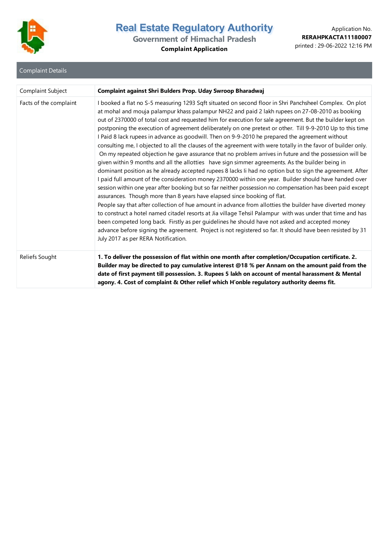

# **Government of Himachal Pradesh**

## **Complaint Application**

|  | Complaint Details |
|--|-------------------|
|  |                   |
|  |                   |

| Complaint Subject      | Complaint against Shri Bulders Prop. Uday Swroop Bharadwaj                                                                                                                                                                                                                                                                                                                                                                                                                                                                                                                                                                                                                                                                                                                                                                                                                                                                                                                                                                                                                                                                                                                                                                                                                                                                                                                                                                                                                                                                                                                                                                                                                                                                                                             |
|------------------------|------------------------------------------------------------------------------------------------------------------------------------------------------------------------------------------------------------------------------------------------------------------------------------------------------------------------------------------------------------------------------------------------------------------------------------------------------------------------------------------------------------------------------------------------------------------------------------------------------------------------------------------------------------------------------------------------------------------------------------------------------------------------------------------------------------------------------------------------------------------------------------------------------------------------------------------------------------------------------------------------------------------------------------------------------------------------------------------------------------------------------------------------------------------------------------------------------------------------------------------------------------------------------------------------------------------------------------------------------------------------------------------------------------------------------------------------------------------------------------------------------------------------------------------------------------------------------------------------------------------------------------------------------------------------------------------------------------------------------------------------------------------------|
| Facts of the complaint | I booked a flat no S-5 measuring 1293 Sqft situated on second floor in Shri Panchsheel Complex. On plot<br>at mohal and mouja palampur khass palampur NH22 and paid 2 lakh rupees on 27-08-2010 as booking<br>out of 2370000 of total cost and requested him for execution for sale agreement. But the builder kept on<br>postponing the execution of agreement deliberately on one pretext or other. Till 9-9-2010 Up to this time<br>I Paid 8 lack rupees in advance as goodwill. Then on 9-9-2010 he prepared the agreement without<br>consulting me, I objected to all the clauses of the agreement with were totally in the favor of builder only.<br>On my repeated objection he gave assurance that no problem arrives in future and the possession will be<br>given within 9 months and all the allotties have sign simmer agreements. As the builder being in<br>dominant position as he already accepted rupees 8 lacks Ii had no option but to sign the agreement. After<br>I paid full amount of the consideration money 2370000 within one year. Builder should have handed over<br>session within one year after booking but so far neither possession no compensation has been paid except<br>assurances. Though more than 8 years have elapsed since booking of flat.<br>People say that after collection of hue amount in advance from allotties the builder have diverted money<br>to construct a hotel named citadel resorts at Jia village Tehsil Palampur with was under that time and has<br>been competed long back. Firstly as per guidelines he should have not asked and accepted money<br>advance before signing the agreement. Project is not registered so far. It should have been resisted by 31<br>July 2017 as per RERA Notification. |
| Reliefs Sought         | 1. To deliver the possession of flat within one month after completion/Occupation certificate. 2.<br>Builder may be directed to pay cumulative interest @18 % per Annam on the amount paid from the<br>date of first payment till possession. 3. Rupees 5 lakh on account of mental harassment & Mental<br>agony. 4. Cost of complaint & Other relief which H'onble regulatory authority deems fit.                                                                                                                                                                                                                                                                                                                                                                                                                                                                                                                                                                                                                                                                                                                                                                                                                                                                                                                                                                                                                                                                                                                                                                                                                                                                                                                                                                    |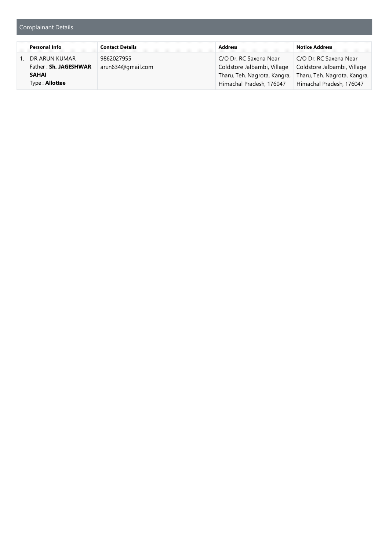## Complainant Details

| Personal Info         | <b>Contact Details</b> |                              | Notice Address               |
|-----------------------|------------------------|------------------------------|------------------------------|
| DR ARUN KUMAR         | 9862027955             | C/O Dr. RC Saxena Near       | C/O Dr. RC Saxena Near       |
| Father: Sh. JAGESHWAR | arun634@gmail.com      | Coldstore Jalbambi, Village  | Coldstore Jalbambi, Village  |
| <b>SAHAI</b>          |                        | Tharu, Teh. Nagrota, Kangra, | Tharu, Teh. Nagrota, Kangra, |
| Type: <b>Allottee</b> |                        | Himachal Pradesh, 176047     | Himachal Pradesh, 176047     |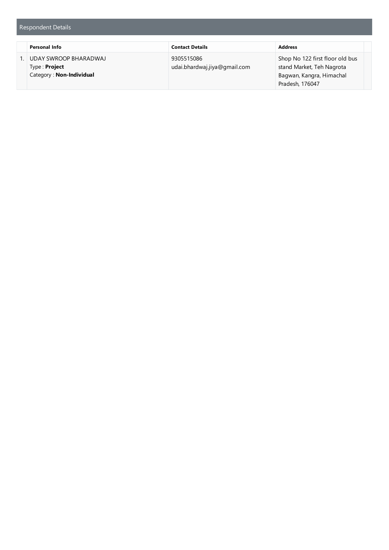| <b>Respondent Details</b> |
|---------------------------|
|---------------------------|

| Personal Info                                    | <b>Contact Details</b>       |                                                       |
|--------------------------------------------------|------------------------------|-------------------------------------------------------|
| UDAY SWROOP BHARADWAI                            | 9305515086                   | Shop No 122 first floor old bus                       |
| Type: <b>Project</b><br>Category: Non-Individual | udai.bhardwaj.jiya@gmail.com | stand Market, Teh Nagrota<br>Bagwan, Kangra, Himachal |
|                                                  |                              | Pradesh, 176047                                       |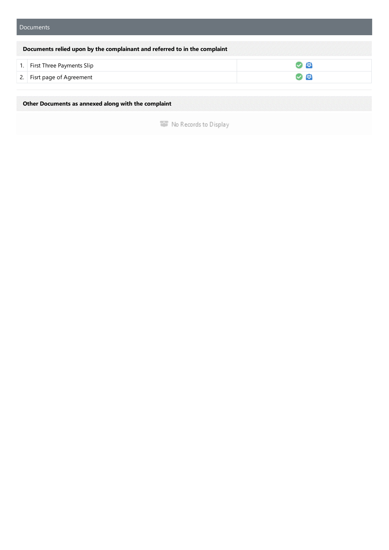| Documents relied upon by the complainant and referred to in the complaint |   |
|---------------------------------------------------------------------------|---|
| 1. First Three Payments Slip                                              | Ð |
| 2. Fisrt page of Agreement                                                | € |

**Other Documents as annexed along with the complaint**

**WE No Records to Display**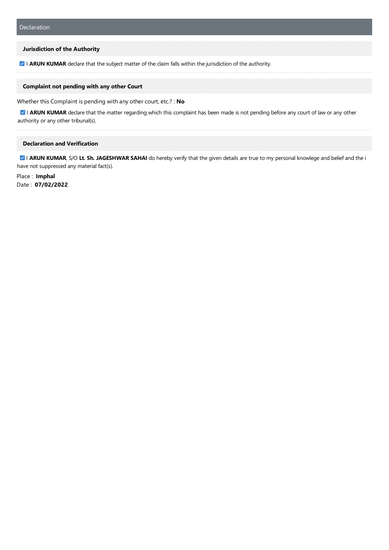#### **Jurisdiction of the Authority**

**Z | ARUN KUMAR** declare that the subject matter of the claim falls within the jurisdiction of the authority.

### **Complaint not pending with any other Court**

Whether this Complaint is pending with any other court, etc.? : No

I ARUN KUMAR declare that the matter regarding which this complaint has been made is not pending before any court of law or any other authority or any other tribunal(s).

#### **Declaration and Verification**

**I ARUN KUMAR**, S/O Lt. Sh. JAGESHWAR SAHAI do hereby verify that the given details are true to my personal knowlege and belief and the i have not suppressed any material fact(s).

Place : **Imphal** Date : **07/02/2022**